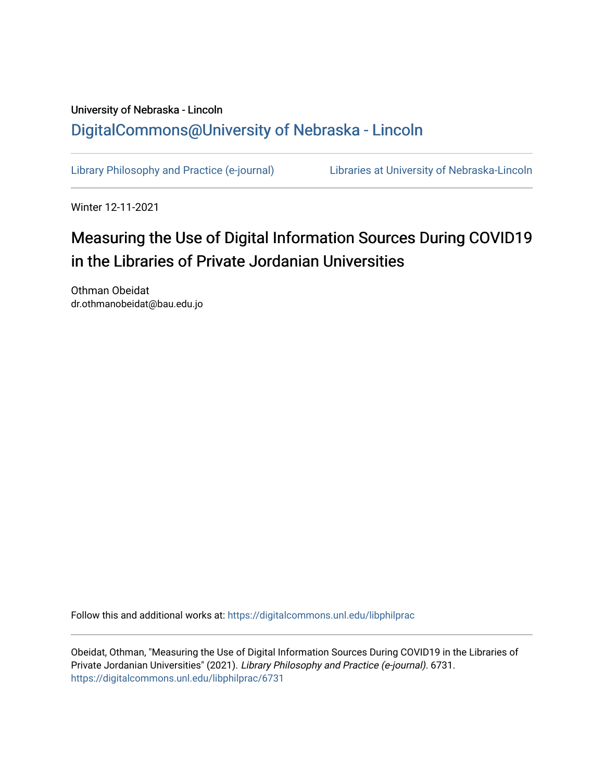## University of Nebraska - Lincoln [DigitalCommons@University of Nebraska - Lincoln](https://digitalcommons.unl.edu/)

[Library Philosophy and Practice \(e-journal\)](https://digitalcommons.unl.edu/libphilprac) [Libraries at University of Nebraska-Lincoln](https://digitalcommons.unl.edu/libraries) 

Winter 12-11-2021

# Measuring the Use of Digital Information Sources During COVID19 in the Libraries of Private Jordanian Universities

Othman Obeidat dr.othmanobeidat@bau.edu.jo

Follow this and additional works at: [https://digitalcommons.unl.edu/libphilprac](https://digitalcommons.unl.edu/libphilprac?utm_source=digitalcommons.unl.edu%2Flibphilprac%2F6731&utm_medium=PDF&utm_campaign=PDFCoverPages) 

Obeidat, Othman, "Measuring the Use of Digital Information Sources During COVID19 in the Libraries of Private Jordanian Universities" (2021). Library Philosophy and Practice (e-journal). 6731. [https://digitalcommons.unl.edu/libphilprac/6731](https://digitalcommons.unl.edu/libphilprac/6731?utm_source=digitalcommons.unl.edu%2Flibphilprac%2F6731&utm_medium=PDF&utm_campaign=PDFCoverPages)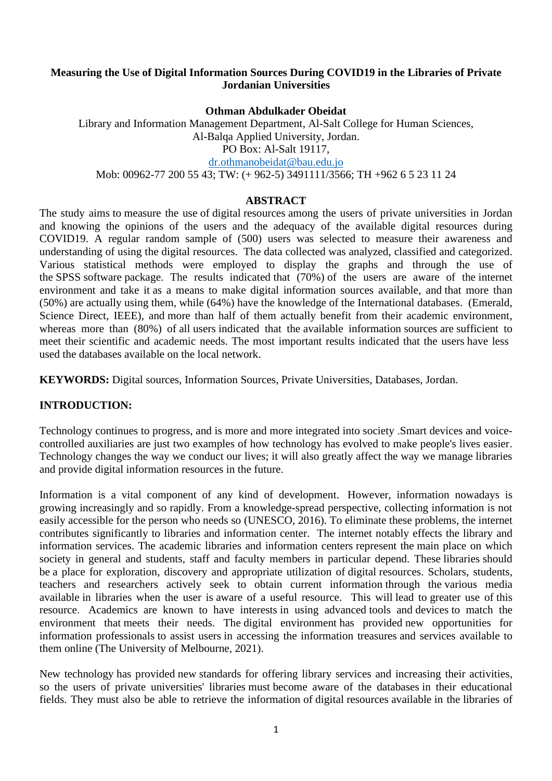#### **Measuring the Use of Digital Information Sources During COVID19 in the Libraries of Private Jordanian Universities**

**Othman Abdulkader Obeidat**

Library and Information Management Department, Al-Salt College for Human Sciences, Al-Balqa Applied University, Jordan. PO Box: Al-Salt 19117, [dr.othmanobeidat@bau.edu.jo](mailto:dr.othmanobeidat@bau.edu.jo) Mob: 00962-77 200 55 43; TW: (+ 962-5) 3491111/3566; TH +962 6 5 23 11 24

#### **ABSTRACT**

The study aims to measure the use of digital resources among the users of private universities in Jordan and knowing the opinions of the users and the adequacy of the available digital resources during COVID19. A regular random sample of (500) users was selected to measure their awareness and understanding of using the digital resources. The data collected was analyzed, classified and categorized. Various statistical methods were employed to display the graphs and through the use of the SPSS software package. The results indicated that (70%) of the users are aware of the internet environment and take it as a means to make digital information sources available, and that more than (50%) are actually using them, while (64%) have the knowledge of the International databases. (Emerald, Science Direct, IEEE), and more than half of them actually benefit from their academic environment, whereas more than (80%) of all users indicated that the available information sources are sufficient to meet their scientific and academic needs. The most important results indicated that the users have less used the databases available on the local network.

**KEYWORDS:** Digital sources, Information Sources, Private Universities, Databases, Jordan.

#### **INTRODUCTION:**

Technology continues to progress, and is more and more integrated into society .Smart devices and voicecontrolled auxiliaries are just two examples of how technology has evolved to make people's lives easier. Technology changes the way we conduct our lives; it will also greatly affect the way we manage libraries and provide digital information resources in the future.

Information is a vital component of any kind of development. However, information nowadays is growing increasingly and so rapidly. From a knowledge-spread perspective, collecting information is not easily accessible for the person who needs so (UNESCO, 2016). To eliminate these problems, the internet contributes significantly to libraries and information center. The internet notably effects the library and information services. The academic libraries and information centers represent the main place on which society in general and students, staff and faculty members in particular depend. These libraries should be a place for exploration, discovery and appropriate utilization of digital resources. Scholars, students, teachers and researchers actively seek to obtain current information through the various media available in libraries when the user is aware of a useful resource. This will lead to greater use of this resource. Academics are known to have interests in using advanced tools and devices to match the environment that meets their needs. The digital environment has provided new opportunities for information professionals to assist users in accessing the information treasures and services available to them online (The University of Melbourne, 2021).

New technology has provided new standards for offering library services and increasing their activities, so the users of private universities' libraries must become aware of the databases in their educational fields. They must also be able to retrieve the information of digital resources available in the libraries of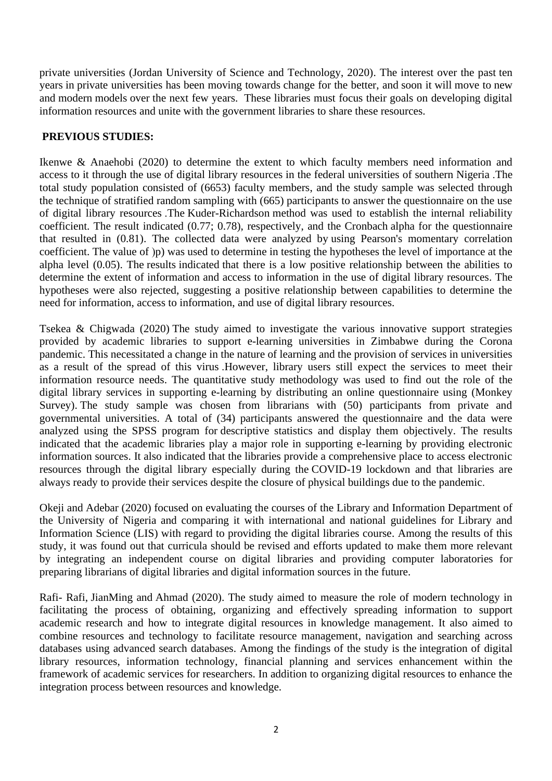private universities (Jordan University of Science and Technology, 2020). The interest over the past ten years in private universities has been moving towards change for the better, and soon it will move to new and modern models over the next few years. These libraries must focus their goals on developing digital information resources and unite with the government libraries to share these resources.

#### **PREVIOUS STUDIES:**

Ikenwe & Anaehobi (2020) to determine the extent to which faculty members need information and access to it through the use of digital library resources in the federal universities of southern Nigeria .The total study population consisted of (6653) faculty members, and the study sample was selected through the technique of stratified random sampling with (665) participants to answer the questionnaire on the use of digital library resources .The Kuder-Richardson method was used to establish the internal reliability coefficient. The result indicated (0.77; 0.78), respectively, and the Cronbach alpha for the questionnaire that resulted in (0.81). The collected data were analyzed by using Pearson's momentary correlation coefficient. The value of (p) was used to determine in testing the hypotheses the level of importance at the alpha level (0.05). The results indicated that there is a low positive relationship between the abilities to determine the extent of information and access to information in the use of digital library resources. The hypotheses were also rejected, suggesting a positive relationship between capabilities to determine the need for information, access to information, and use of digital library resources.

Tsekea & Chigwada (2020) The study aimed to investigate the various innovative support strategies provided by academic libraries to support e-learning universities in Zimbabwe during the Corona pandemic. This necessitated a change in the nature of learning and the provision of services in universities as a result of the spread of this virus .However, library users still expect the services to meet their information resource needs. The quantitative study methodology was used to find out the role of the digital library services in supporting e-learning by distributing an online questionnaire using (Monkey Survey). The study sample was chosen from librarians with (50) participants from private and governmental universities. A total of (34) participants answered the questionnaire and the data were analyzed using the SPSS program for descriptive statistics and display them objectively. The results indicated that the academic libraries play a major role in supporting e-learning by providing electronic information sources. It also indicated that the libraries provide a comprehensive place to access electronic resources through the digital library especially during the COVID-19 lockdown and that libraries are always ready to provide their services despite the closure of physical buildings due to the pandemic .

Okeji and Adebar (2020) focused on evaluating the courses of the Library and Information Department of the University of Nigeria and comparing it with international and national guidelines for Library and Information Science (LIS) with regard to providing the digital libraries course. Among the results of this study, it was found out that curricula should be revised and efforts updated to make them more relevant by integrating an independent course on digital libraries and providing computer laboratories for preparing librarians of digital libraries and digital information sources in the future.

Rafi- Rafi, JianMing and Ahmad (2020). The study aimed to measure the role of modern technology in facilitating the process of obtaining, organizing and effectively spreading information to support academic research and how to integrate digital resources in knowledge management. It also aimed to combine resources and technology to facilitate resource management, navigation and searching across databases using advanced search databases. Among the findings of the study is the integration of digital library resources, information technology, financial planning and services enhancement within the framework of academic services for researchers. In addition to organizing digital resources to enhance the integration process between resources and knowledge.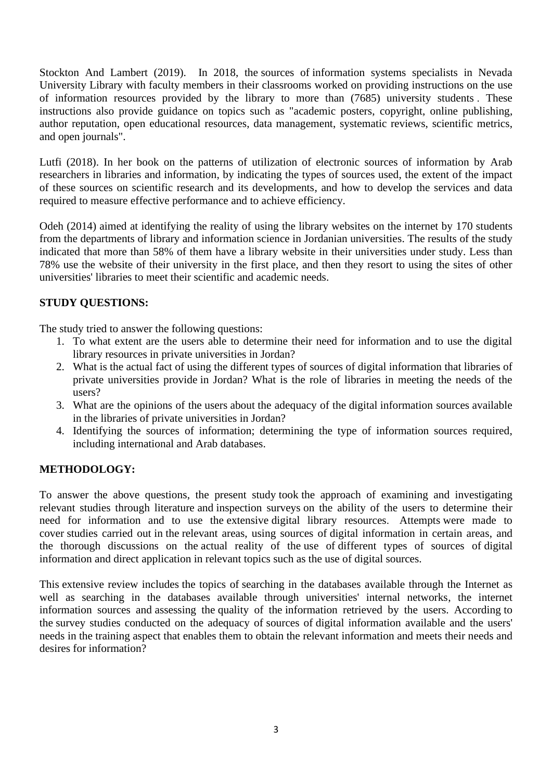Stockton And Lambert (2019). In 2018, the sources of information systems specialists in Nevada University Library with faculty members in their classrooms worked on providing instructions on the use of information resources provided by the library to more than (7685) university students. These instructions also provide guidance on topics such as "academic posters, copyright, online publishing, author reputation, open educational resources, data management, systematic reviews, scientific metrics, and open journals".

Lutfi (2018). In her book on the patterns of utilization of electronic sources of information by Arab researchers in libraries and information, by indicating the types of sources used, the extent of the impact of these sources on scientific research and its developments, and how to develop the services and data required to measure effective performance and to achieve efficiency.

Odeh (2014) aimed at identifying the reality of using the library websites on the internet by 170 students from the departments of library and information science in Jordanian universities. The results of the study indicated that more than 58% of them have a library website in their universities under study. Less than 78% use the website of their university in the first place, and then they resort to using the sites of other universities' libraries to meet their scientific and academic needs.

## **STUDY QUESTIONS:**

The study tried to answer the following questions:

- 1. To what extent are the users able to determine their need for information and to use the digital library resources in private universities in Jordan?
- 2. What is the actual fact of using the different types of sources of digital information that libraries of private universities provide in Jordan? What is the role of libraries in meeting the needs of the users?
- 3. What are the opinions of the users about the adequacy of the digital information sources available in the libraries of private universities in Jordan?
- 4. Identifying the sources of information; determining the type of information sources required, including international and Arab databases.

## **METHODOLOGY:**

To answer the above questions, the present study took the approach of examining and investigating relevant studies through literature and inspection surveys on the ability of the users to determine their need for information and to use the extensive digital library resources. Attempts were made to cover studies carried out in the relevant areas, using sources of digital information in certain areas, and the thorough discussions on the actual reality of the use of different types of sources of digital information and direct application in relevant topics such as the use of digital sources.

This extensive review includes the topics of searching in the databases available through the Internet as well as searching in the databases available through universities' internal networks, the internet information sources and assessing the quality of the information retrieved by the users. According to the survey studies conducted on the adequacy of sources of digital information available and the users' needs in the training aspect that enables them to obtain the relevant information and meets their needs and desires for information?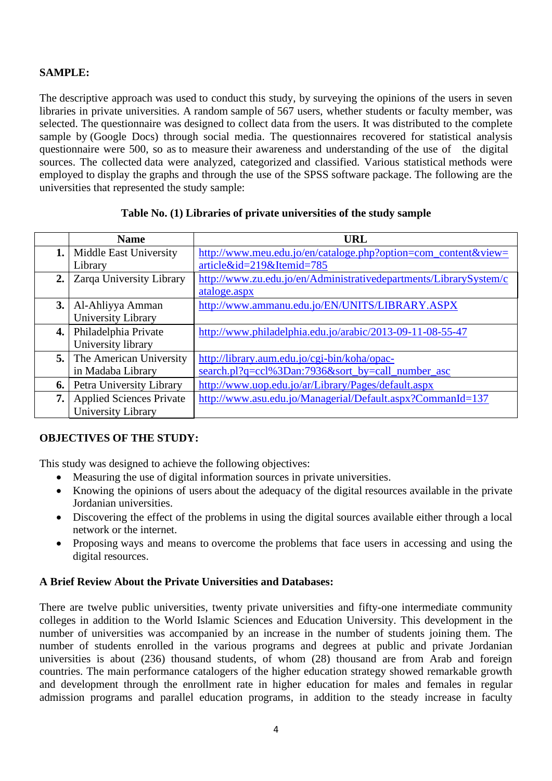## **SAMPLE:**

The descriptive approach was used to conduct this study, by surveying the opinions of the users in seven libraries in private universities. A random sample of 567 users, whether students or faculty member, was selected. The questionnaire was designed to collect data from the users. It was distributed to the complete sample by (Google Docs) through social media. The questionnaires recovered for statistical analysis questionnaire were 500, so as to measure their awareness and understanding of the use of the digital sources. The collected data were analyzed, categorized and classified. Various statistical methods were employed to display the graphs and through the use of the SPSS software package. The following are the universities that represented the study sample:

|     | <b>Name</b>                     | <b>URL</b>                                                        |
|-----|---------------------------------|-------------------------------------------------------------------|
| 1.  | Middle East University          | http://www.meu.edu.jo/en/cataloge.php?option=com_content&view=    |
|     | Library                         | article&id=219&Itemid=785                                         |
| 2.  | Zarqa University Library        | http://www.zu.edu.jo/en/Administrativedepartments/LibrarySystem/c |
|     |                                 | ataloge.aspx                                                      |
| 3.  | Al-Ahliyya Amman                | http://www.ammanu.edu.jo/EN/UNITS/LIBRARY.ASPX                    |
|     | University Library              |                                                                   |
| 4.  | Philadelphia Private            | http://www.philadelphia.edu.jo/arabic/2013-09-11-08-55-47         |
|     | University library              |                                                                   |
| 5.1 | The American University         | http://library.aum.edu.jo/cgi-bin/koha/opac-                      |
|     | in Madaba Library               | search.pl?q=ccl%3Dan:7936&sort_by=call_number_asc                 |
| 6.  | Petra University Library        | http://www.uop.edu.jo/ar/Library/Pages/default.aspx               |
| 7.  | <b>Applied Sciences Private</b> | http://www.asu.edu.jo/Managerial/Default.aspx?CommanId=137        |
|     | University Library              |                                                                   |

#### **Table No. (1) Libraries of private universities of the study sample**

#### **OBJECTIVES OF THE STUDY:**

This study was designed to achieve the following objectives:

- Measuring the use of digital information sources in private universities.
- Knowing the opinions of users about the adequacy of the digital resources available in the private Jordanian universities.
- Discovering the effect of the problems in using the digital sources available either through a local network or the internet.
- Proposing ways and means to overcome the problems that face users in accessing and using the digital resources.

#### **A Brief Review About the Private Universities and Databases:**

There are twelve public universities, twenty private universities and fifty-one intermediate community colleges in addition to the World Islamic Sciences and Education University. This development in the number of universities was accompanied by an increase in the number of students joining them. The number of students enrolled in the various programs and degrees at public and private Jordanian universities is about (236) thousand students, of whom (28) thousand are from Arab and foreign countries. The main performance catalogers of the higher education strategy showed remarkable growth and development through the enrollment rate in higher education for males and females in regular admission programs and parallel education programs, in addition to the steady increase in faculty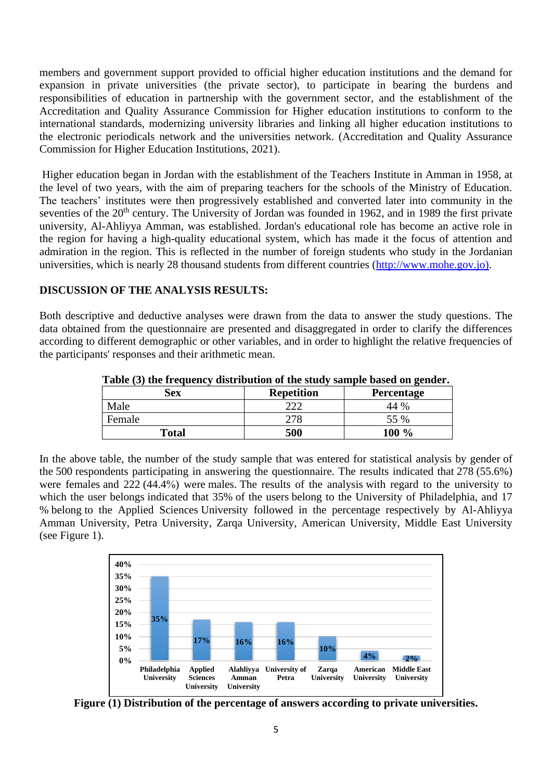members and government support provided to official higher education institutions and the demand for expansion in private universities (the private sector), to participate in bearing the burdens and responsibilities of education in partnership with the government sector, and the establishment of the Accreditation and Quality Assurance Commission for Higher education institutions to conform to the international standards, modernizing university libraries and linking all higher education institutions to the electronic periodicals network and the universities network. (Accreditation and Quality Assurance Commission for Higher Education Institutions, 2021).

Higher education began in Jordan with the establishment of the Teachers Institute in Amman in 1958, at the level of two years, with the aim of preparing teachers for the schools of the Ministry of Education. The teachers' institutes were then progressively established and converted later into community in the seventies of the 20<sup>th</sup> century. The University of Jordan was founded in 1962, and in 1989 the first private university, Al-Ahliyya Amman, was established. Jordan's educational role has become an active role in the region for having a high-quality educational system, which has made it the focus of attention and admiration in the region. This is reflected in the number of foreign students who study in the Jordanian universities, which is nearly 28 thousand students from different countries [\(http://www.mohe.gov.jo\)](http://www.mohe.gov.jo/).

#### **DISCUSSION OF THE ANALYSIS RESULTS:**

Both descriptive and deductive analyses were drawn from the data to answer the study questions. The data obtained from the questionnaire are presented and disaggregated in order to clarify the differences according to different demographic or other variables, and in order to highlight the relative frequencies of the participants' responses and their arithmetic mean.

| Table (3) the Hequency distribution of the study sample based on genuel. |                   |                   |  |  |  |
|--------------------------------------------------------------------------|-------------------|-------------------|--|--|--|
| Sex                                                                      | <b>Repetition</b> | <b>Percentage</b> |  |  |  |
| Male                                                                     | ີ                 | 44 %              |  |  |  |
| Female                                                                   | 278               | 55 %              |  |  |  |
| <b>Total</b>                                                             | 500               | $100\%$           |  |  |  |

**Table (3) the frequency distribution of the study sample based on gender.**

In the above table, the number of the study sample that was entered for statistical analysis by gender of the 500 respondents participating in answering the questionnaire. The results indicated that 278 (55.6%) were females and 222 (44.4%) were males. The results of the analysis with regard to the university to which the user belongs indicated that 35% of the users belong to the University of Philadelphia, and 17 % belong to the Applied Sciences University followed in the percentage respectively by Al-Ahliyya Amman University, Petra University, Zarqa University, American University, Middle East University (see Figure 1).



**Figure (1) Distribution of the percentage of answers according to private universities.**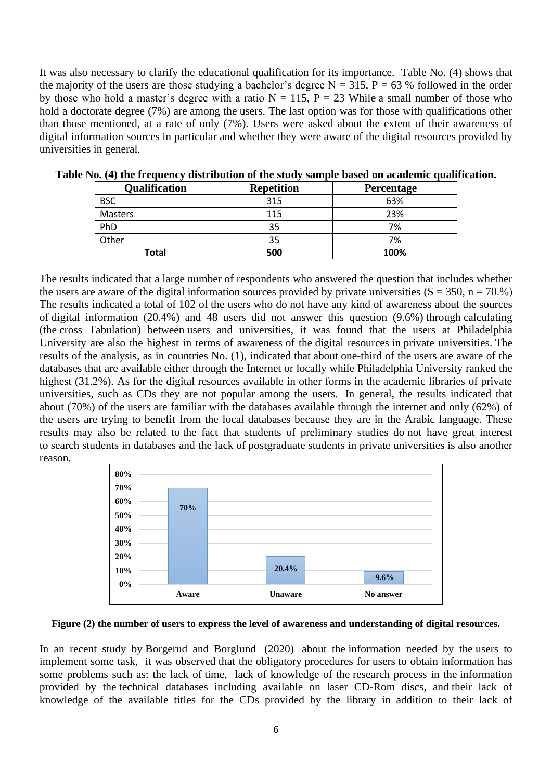It was also necessary to clarify the educational qualification for its importance. Table No. (4) shows that the majority of the users are those studying a bachelor's degree  $N = 315$ ,  $P = 63$  % followed in the order by those who hold a master's degree with a ratio  $N = 115$ ,  $P = 23$  While a small number of those who hold a doctorate degree (7%) are among the users. The last option was for those with qualifications other than those mentioned, at a rate of only (7%). Users were asked about the extent of their awareness of digital information sources in particular and whether they were aware of the digital resources provided by universities in general.

| <b>Qualification</b> | <b>Repetition</b> | Percentage |  |
|----------------------|-------------------|------------|--|
| <b>BSC</b>           | 315               | 63%        |  |
| Masters              | 115               | 23%        |  |
| PhD                  | 35                | 7%         |  |
| Other                | 35                | 7%         |  |
| Total                | 500               | 100%       |  |

**Table No. (4) the frequency distribution of the study sample based on academic qualification.**

The results indicated that a large number of respondents who answered the question that includes whether the users are aware of the digital information sources provided by private universities  $(S = 350, n = 70.%)$ The results indicated a total of 102 of the users who do not have any kind of awareness about the sources of digital information (20.4%) and 48 users did not answer this question (9.6%) through calculating (the cross Tabulation) between users and universities, it was found that the users at Philadelphia University are also the highest in terms of awareness of the digital resources in private universities. The results of the analysis, as in countries No. (1), indicated that about one-third of the users are aware of the databases that are available either through the Internet or locally while Philadelphia University ranked the highest (31.2%). As for the digital resources available in other forms in the academic libraries of private universities, such as CDs they are not popular among the users. In general, the results indicated that about (70%) of the users are familiar with the databases available through the internet and only (62%) of the users are trying to benefit from the local databases because they are in the Arabic language. These results may also be related to the fact that students of preliminary studies do not have great interest to search students in databases and the lack of postgraduate students in private universities is also another reason.



**Figure (2) the number of users to express the level of awareness and understanding of digital resources.**

In an recent study by Borgerud and Borglund (2020) about the information needed by the users to implement some task, it was observed that the obligatory procedures for users to obtain information has some problems such as: the lack of time, lack of knowledge of the research process in the information provided by the technical databases including available on laser CD-Rom discs, and their lack of knowledge of the available titles for the CDs provided by the library in addition to their lack of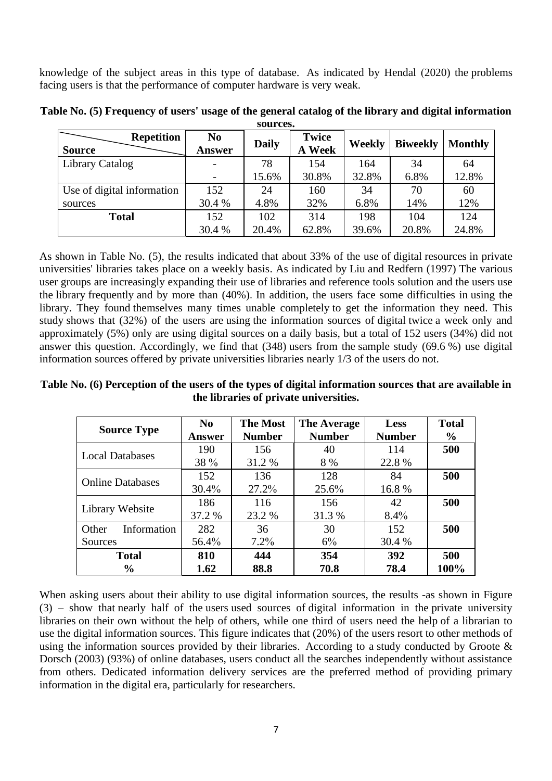knowledge of the subject areas in this type of database. As indicated by Hendal (2020) the problems facing users is that the performance of computer hardware is very weak.

| <b>Repetition</b><br><b>Source</b> | N <sub>0</sub><br>Answer | <b>Daily</b> | <b>Twice</b><br>A Week | Weekly | <b>Biweekly</b> | <b>Monthly</b> |
|------------------------------------|--------------------------|--------------|------------------------|--------|-----------------|----------------|
| Library Catalog                    |                          | 78           | 154                    | 164    | 34              | 64             |
|                                    |                          | 15.6%        | 30.8%                  | 32.8%  | 6.8%            | 12.8%          |
| Use of digital information         | 152                      | 24           | 160                    | 34     | 70              | 60             |
| sources                            | 30.4 %                   | 4.8%         | 32%                    | 6.8%   | 14%             | 12%            |
| <b>Total</b>                       | 152                      | 102          | 314                    | 198    | 104             | 124            |
|                                    | 30.4 %                   | 20.4%        | 62.8%                  | 39.6%  | 20.8%           | 24.8%          |

**Table No. (5) Frequency of users' usage of the general catalog of the library and digital information sources.**

As shown in Table No. (5), the results indicated that about 33% of the use of digital resources in private universities' libraries takes place on a weekly basis. As indicated by Liu and Redfern (1997) The various user groups are increasingly expanding their use of libraries and reference tools solution and the users use the library frequently and by more than (40%). In addition, the users face some difficulties in using the library. They found themselves many times unable completely to get the information they need. This study shows that (32%) of the users are using the information sources of digital twice a week only and approximately (5%) only are using digital sources on a daily basis, but a total of 152 users (34%) did not answer this question. Accordingly, we find that (348) users from the sample study (69.6 %) use digital information sources offered by private universities libraries nearly 1/3 of the users do not.

**Table No. (6) Perception of the users of the types of digital information sources that are available in the libraries of private universities.**

| <b>Source Type</b>      | N <sub>0</sub><br><b>Answer</b> | <b>The Most</b><br><b>Number</b> | The Average<br><b>Number</b> | <b>Less</b><br><b>Number</b> | <b>Total</b><br>$\frac{6}{6}$ |
|-------------------------|---------------------------------|----------------------------------|------------------------------|------------------------------|-------------------------------|
| <b>Local Databases</b>  | 190                             | 156                              | 40                           | 114                          | 500                           |
|                         | 38 %                            | 31.2 %                           | 8 %                          | 22.8%                        |                               |
| <b>Online Databases</b> | 152                             | 136                              | 128                          | 84                           | 500                           |
|                         | 30.4%                           | 27.2%                            | 25.6%                        | 16.8%                        |                               |
|                         | 186                             | 116                              | 156                          | 42                           | 500                           |
| Library Website         | 37.2 %                          | 23.2 %                           | 31.3 %                       | $8.4\%$                      |                               |
| Information<br>Other    | 282                             | 36                               | 30                           | 152                          | 500                           |
| Sources                 | 56.4%                           | $7.2\%$                          | $6\%$                        | 30.4 %                       |                               |
| <b>Total</b>            | 810                             | 444                              | 354                          | 392                          | 500                           |
| $\frac{0}{0}$           | 1.62                            | 88.8                             | 70.8                         | 78.4                         | 100%                          |

When asking users about their ability to use digital information sources, the results -as shown in Figure (3) – show that nearly half of the users used sources of digital information in the private university libraries on their own without the help of others, while one third of users need the help of a librarian to use the digital information sources. This figure indicates that (20%) of the users resort to other methods of using the information sources provided by their libraries. According to a study conducted by Groote & Dorsch (2003) (93%) of online databases, users conduct all the searches independently without assistance from others. Dedicated information delivery services are the preferred method of providing primary information in the digital era, particularly for researchers.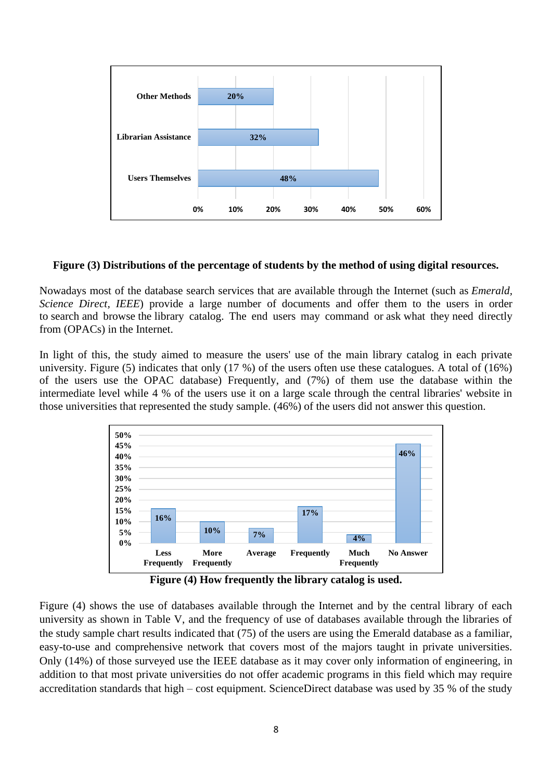

#### **Figure (3) Distributions of the percentage of students by the method of using digital resources.**

Nowadays most of the database search services that are available through the Internet (such as *Emerald, Science Direct, IEEE*) provide a large number of documents and offer them to the users in order to search and browse the library catalog. The end users may command or ask what they need directly from (OPACs) in the Internet.

In light of this, the study aimed to measure the users' use of the main library catalog in each private university. Figure (5) indicates that only (17 %) of the users often use these catalogues. A total of (16%) of the users use the OPAC database) Frequently, and (7%) of them use the database within the intermediate level while 4 % of the users use it on a large scale through the central libraries' website in those universities that represented the study sample. (46%) of the users did not answer this question.



**Figure (4) How frequently the library catalog is used.**

Figure (4) shows the use of databases available through the Internet and by the central library of each university as shown in Table V, and the frequency of use of databases available through the libraries of the study sample chart results indicated that (75) of the users are using the Emerald database as a familiar, easy-to-use and comprehensive network that covers most of the majors taught in private universities. Only (14%) of those surveyed use the IEEE database as it may cover only information of engineering, in addition to that most private universities do not offer academic programs in this field which may require accreditation standards that high – cost equipment. ScienceDirect database was used by 35 % of the study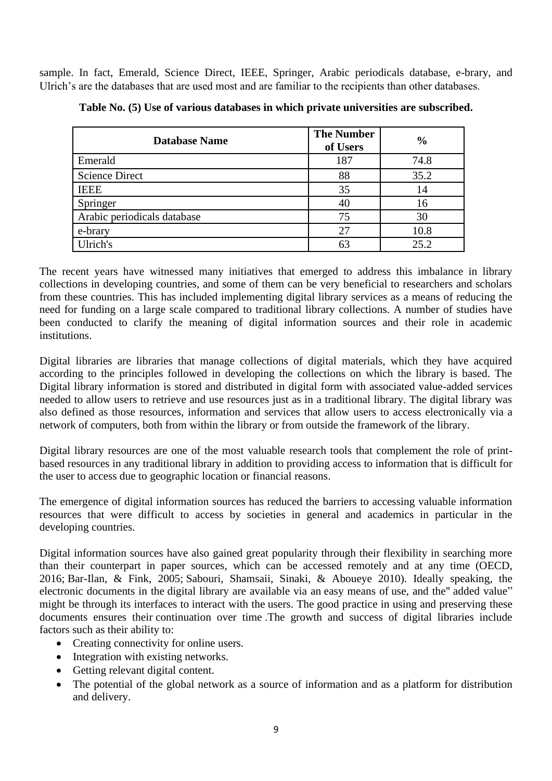sample. In fact, Emerald, Science Direct, IEEE, Springer, Arabic periodicals database, e-brary, and Ulrich's are the databases that are used most and are familiar to the recipients than other databases.

| <b>Database Name</b>        | <b>The Number</b><br>of Users | $\frac{0}{0}$ |
|-----------------------------|-------------------------------|---------------|
| Emerald                     | 187                           | 74.8          |
| <b>Science Direct</b>       | 88                            | 35.2          |
| <b>IEEE</b>                 | 35                            | 14            |
| Springer                    | 40                            | 16            |
| Arabic periodicals database | 75                            | 30            |
| e-brary                     | 27                            | 10.8          |
| Ulrich's                    |                               | 25.2          |

**Table No. (5) Use of various databases in which private universities are subscribed.**

The recent years have witnessed many initiatives that emerged to address this imbalance in library collections in developing countries, and some of them can be very beneficial to researchers and scholars from these countries. This has included implementing digital library services as a means of reducing the need for funding on a large scale compared to traditional library collections. A number of studies have been conducted to clarify the meaning of digital information sources and their role in academic institutions.

Digital libraries are libraries that manage collections of digital materials, which they have acquired according to the principles followed in developing the collections on which the library is based. The Digital library information is stored and distributed in digital form with associated value-added services needed to allow users to retrieve and use resources just as in a traditional library. The digital library was also defined as those resources, information and services that allow users to access electronically via a network of computers, both from within the library or from outside the framework of the library.

Digital library resources are one of the most valuable research tools that complement the role of printbased resources in any traditional library in addition to providing access to information that is difficult for the user to access due to geographic location or financial reasons.

The emergence of digital information sources has reduced the barriers to accessing valuable information resources that were difficult to access by societies in general and academics in particular in the developing countries.

Digital information sources have also gained great popularity through their flexibility in searching more than their counterpart in paper sources, which can be accessed remotely and at any time (OECD, 2016; Bar-Ilan, & Fink, 2005; Sabouri, Shamsaii, Sinaki, & Aboueye 2010). Ideally speaking, the electronic documents in the digital library are available via an easy means of use, and the" added value" might be through its interfaces to interact with the users. The good practice in using and preserving these documents ensures their continuation over time .The growth and success of digital libraries include factors such as their ability to:

- Creating connectivity for online users.
- Integration with existing networks.
- Getting relevant digital content.
- The potential of the global network as a source of information and as a platform for distribution and delivery.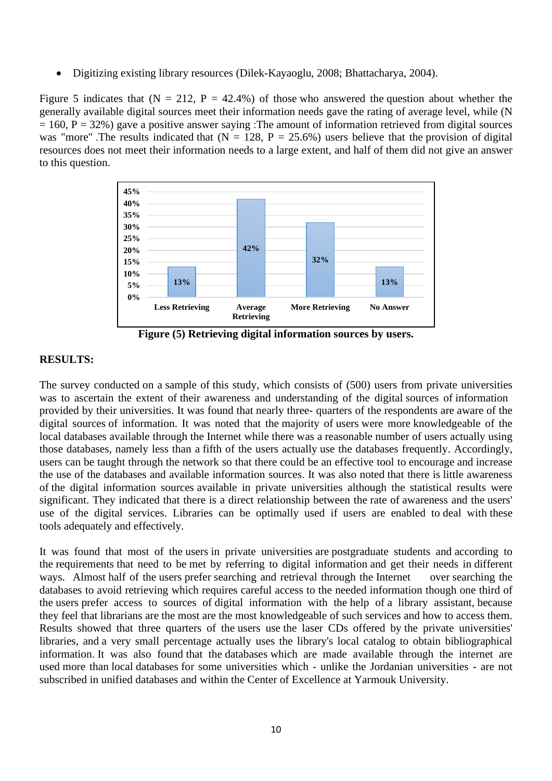• Digitizing existing library resources (Dilek-Kayaoglu, 2008; Bhattacharya, 2004).

Figure 5 indicates that  $(N = 212, P = 42.4\%)$  of those who answered the question about whether the generally available digital sources meet their information needs gave the rating of average level, while (N  $= 160$ , P = 32%) gave a positive answer saying :The amount of information retrieved from digital sources was "more" .The results indicated that  $(N = 128, P = 25.6%)$  users believe that the provision of digital resources does not meet their information needs to a large extent, and half of them did not give an answer to this question.



**Figure (5) Retrieving digital information sources by users.**

#### **RESULTS:**

The survey conducted on a sample of this study, which consists of (500) users from private universities was to ascertain the extent of their awareness and understanding of the digital sources of information provided by their universities. It was found that nearly three- quarters of the respondents are aware of the digital sources of information. It was noted that the majority of users were more knowledgeable of the local databases available through the Internet while there was a reasonable number of users actually using those databases, namely less than a fifth of the users actually use the databases frequently. Accordingly, users can be taught through the network so that there could be an effective tool to encourage and increase the use of the databases and available information sources. It was also noted that there is little awareness of the digital information sources available in private universities although the statistical results were significant. They indicated that there is a direct relationship between the rate of awareness and the users' use of the digital services. Libraries can be optimally used if users are enabled to deal with these tools adequately and effectively.

It was found that most of the users in private universities are postgraduate students and according to the requirements that need to be met by referring to digital information and get their needs in different ways. Almost half of the users prefer searching and retrieval through the Internet over searching the databases to avoid retrieving which requires careful access to the needed information though one third of the users prefer access to sources of digital information with the help of a library assistant, because they feel that librarians are the most are the most knowledgeable of such services and how to access them. Results showed that three quarters of the users use the laser CDs offered by the private universities' libraries, and a very small percentage actually uses the library's local catalog to obtain bibliographical information. It was also found that the databases which are made available through the internet are used more than local databases for some universities which - unlike the Jordanian universities - are not subscribed in unified databases and within the Center of Excellence at Yarmouk University.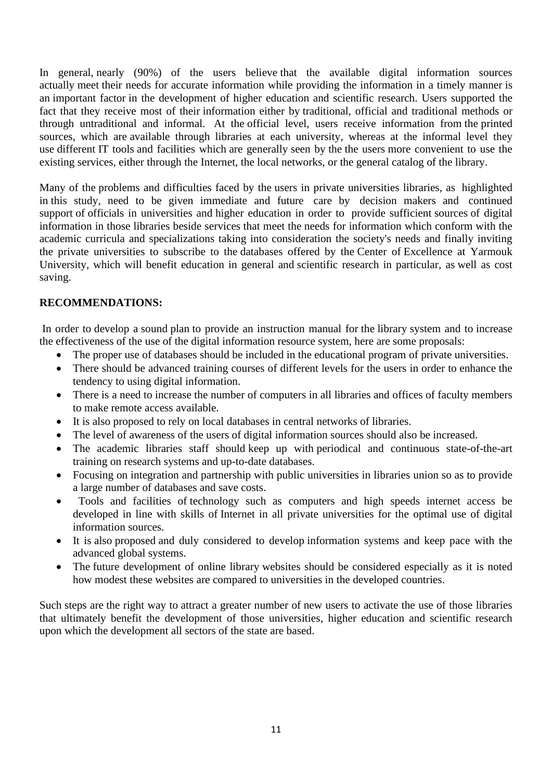In general, nearly (90%) of the users believe that the available digital information sources actually meet their needs for accurate information while providing the information in a timely manner is an important factor in the development of higher education and scientific research. Users supported the fact that they receive most of their information either by traditional, official and traditional methods or through untraditional and informal. At the official level, users receive information from the printed sources, which are available through libraries at each university, whereas at the informal level they use different IT tools and facilities which are generally seen by the the users more convenient to use the existing services, either through the Internet, the local networks, or the general catalog of the library.

Many of the problems and difficulties faced by the users in private universities libraries, as highlighted in this study, need to be given immediate and future care by decision makers and continued support of officials in universities and higher education in order to provide sufficient sources of digital information in those libraries beside services that meet the needs for information which conform with the academic curricula and specializations taking into consideration the society's needs and finally inviting the private universities to subscribe to the databases offered by the Center of Excellence at Yarmouk University, which will benefit education in general and scientific research in particular, as well as cost saving.

#### **RECOMMENDATIONS:**

In order to develop a sound plan to provide an instruction manual for the library system and to increase the effectiveness of the use of the digital information resource system, here are some proposals:

- The proper use of databases should be included in the educational program of private universities.
- There should be advanced training courses of different levels for the users in order to enhance the tendency to using digital information.
- There is a need to increase the number of computers in all libraries and offices of faculty members to make remote access available.
- It is also proposed to rely on local databases in central networks of libraries.
- The level of awareness of the users of digital information sources should also be increased.
- The academic libraries staff should keep up with periodical and continuous state-of-the-art training on research systems and up-to-date databases.
- Focusing on integration and partnership with public universities in libraries union so as to provide a large number of databases and save costs.
- Tools and facilities of technology such as computers and high speeds internet access be developed in line with skills of Internet in all private universities for the optimal use of digital information sources.
- It is also proposed and duly considered to develop information systems and keep pace with the advanced global systems.
- The future development of online library websites should be considered especially as it is noted how modest these websites are compared to universities in the developed countries.

Such steps are the right way to attract a greater number of new users to activate the use of those libraries that ultimately benefit the development of those universities, higher education and scientific research upon which the development all sectors of the state are based.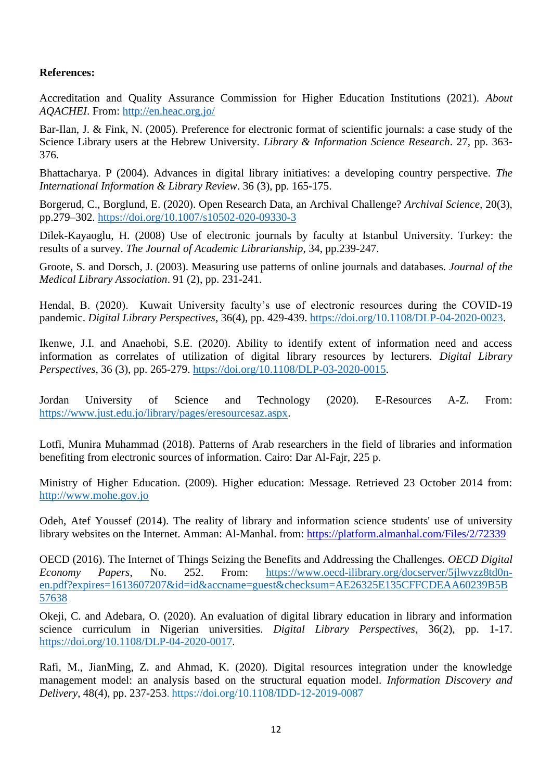#### **References:**

Accreditation and Quality Assurance Commission for Higher Education Institutions (2021). *About AQACHEI*. From:<http://en.heac.org.jo/>

Bar-Ilan, J. & Fink, N. (2005). Preference for electronic format of scientific journals: a case study of the Science Library users at the Hebrew University. *Library & Information Science Research*. 27, pp. 363- 376.

Bhattacharya. P (2004). Advances in digital library initiatives: a developing country perspective. *The International Information & Library Review*. 36 (3), pp. 165-175.

Borgerud, C., Borglund, E. (2020). Open Research Data, an Archival Challenge? *Archival Science,* 20(3), pp.279–302.<https://doi.org/10.1007/s10502-020-09330-3>

Dilek-Kayaoglu, H. (2008) Use of electronic journals by faculty at Istanbul University. Turkey: the results of a survey. *The Journal of Academic Librarianship*, 34, pp.239-247.

Groote, S. and Dorsch, J. (2003). Measuring use patterns of online journals and databases. *Journal of the Medical Library Association*. 91 (2), pp. 231-241.

Hendal, B. (2020). Kuwait University faculty's use of electronic resources during the COVID-19 pandemic. *Digital Library Perspectives*, 36(4), pp. 429-439. [https://doi.org/10.1108/DLP-04-2020-0023.](https://doi.org/10.1108/DLP-04-2020-0023)

Ikenwe, J.I. and Anaehobi, S.E. (2020). Ability to identify extent of information need and access information as correlates of utilization of digital library resources by lecturers. *Digital Library Perspectives*, 36 (3), pp. 265-279. [https://doi.org/10.1108/DLP-03-2020-0015.](https://doi.org/10.1108/DLP-03-2020-0015)

Jordan University of Science and Technology (2020). E-Resources A-Z. From: [https://www.just.edu.jo/library/pages/eresourcesaz.aspx.](https://www.just.edu.jo/library/pages/eresourcesaz.aspx)

Lotfi, Munira Muhammad (2018). Patterns of Arab researchers in the field of libraries and information benefiting from electronic sources of information. Cairo: Dar Al-Fajr, 225 p.

Ministry of Higher Education. (2009). Higher education: Message. Retrieved 23 October 2014 from: [http://www.mohe.gov.jo](http://www.mohe.gov.jo/)

Odeh, Atef Youssef (2014). The reality of library and information science students' use of university library websites on the Internet. Amman: Al-Manhal. from: <https://platform.almanhal.com/Files/2/72339>

OECD (2016). The Internet of Things Seizing the Benefits and Addressing the Challenges. *OECD Digital Economy Papers*, No. 252. From: [https://www.oecd-ilibrary.org/docserver/5jlwvzz8td0n](https://www.oecd-ilibrary.org/docserver/5jlwvzz8td0n-en.pdf?expires=1613607207&id=id&accname=guest&checksum=AE26325E135CFFCDEAA60239B5B57638)[en.pdf?expires=1613607207&id=id&accname=guest&checksum=AE26325E135CFFCDEAA60239B5B](https://www.oecd-ilibrary.org/docserver/5jlwvzz8td0n-en.pdf?expires=1613607207&id=id&accname=guest&checksum=AE26325E135CFFCDEAA60239B5B57638) [57638](https://www.oecd-ilibrary.org/docserver/5jlwvzz8td0n-en.pdf?expires=1613607207&id=id&accname=guest&checksum=AE26325E135CFFCDEAA60239B5B57638)

Okeji, C. and Adebara, O. (2020). An evaluation of digital library education in library and information science curriculum in Nigerian universities. *Digital Library Perspectives*, 36(2), pp. 1-17. [https://doi.org/10.1108/DLP-04-2020-0017.](https://doi.org/10.1108/DLP-04-2020-0017)

Rafi, M., JianMing, Z. and Ahmad, K. (2020). Digital resources integration under the knowledge management model: an analysis based on the structural equation model. *Information Discovery and Delivery*, 48(4), pp. 237-253. https://doi.org/10.1108/IDD-12-2019-0087